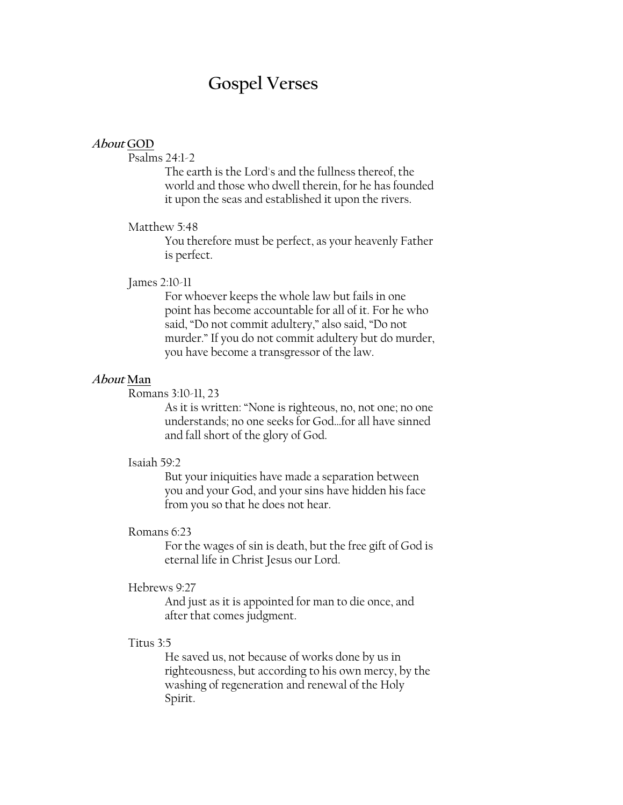# **Gospel Verses**

## **About GOD**

Psalms 24:1-2

The earth is the Lord's and the fullness thereof, the world and those who dwell therein, for he has founded it upon the seas and established it upon the rivers.

## Matthew 5:48

You therefore must be perfect, as your heavenly Father is perfect.

#### James 2:10-11

For whoever keeps the whole law but fails in one point has become accountable for all of it. For he who said, "Do not commit adultery," also said, "Do not murder." If you do not commit adultery but do murder, you have become a transgressor of the law.

## **About Man**

Romans 3:10-11, 23

As it is written: "None is righteous, no, not one; no one understands; no one seeks for God…for all have sinned and fall short of the glory of God.

### Isaiah 59:2

But your iniquities have made a separation between you and your God, and your sins have hidden his face from you so that he does not hear.

## Romans 6:23

For the wages of sin is death, but the free gift of God is eternal life in Christ Jesus our Lord.

#### Hebrews 9:27

And just as it is appointed for man to die once, and after that comes judgment.

## Titus 3:5

He saved us, not because of works done by us in righteousness, but according to his own mercy, by the washing of regeneration and renewal of the Holy Spirit.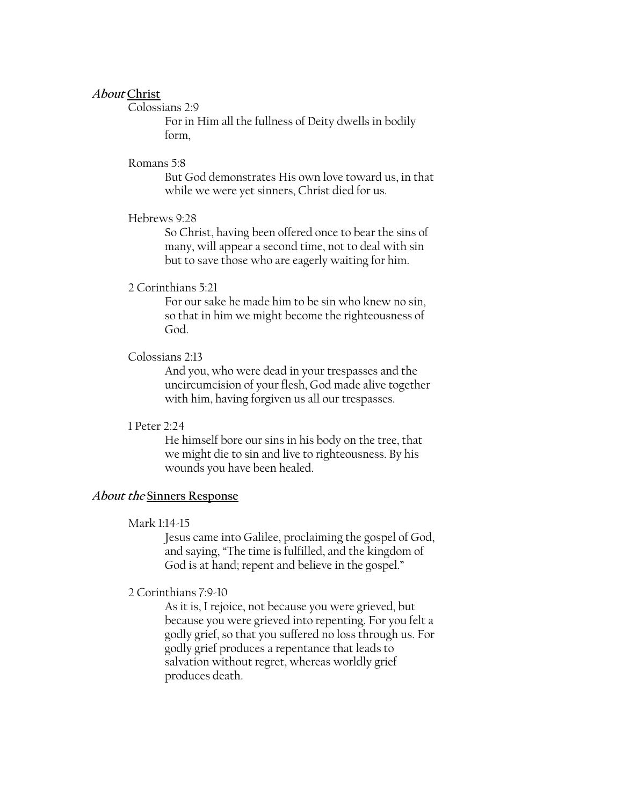## **About Christ**

# Colossians 2:9

For in Him all the fullness of Deity dwells in bodily form,

## Romans 5:8

But God demonstrates His own love toward us, in that while we were yet sinners, Christ died for us.

## Hebrews 9:28

So Christ, having been offered once to bear the sins of many, will appear a second time, not to deal with sin but to save those who are eagerly waiting for him.

## 2 Corinthians 5:21

For our sake he made him to be sin who knew no sin, so that in him we might become the righteousness of God.

# Colossians 2:13

And you, who were dead in your trespasses and the uncircumcision of your flesh, God made alive together with him, having forgiven us all our trespasses.

#### 1 Peter 2:24

He himself bore our sins in his body on the tree, that we might die to sin and live to righteousness. By his wounds you have been healed.

## **About the Sinners Response**

#### Mark 1:14-15

Jesus came into Galilee, proclaiming the gospel of God, and saying, "The time is fulfilled, and the kingdom of God is at hand; repent and believe in the gospel."

# 2 Corinthians 7:9-10

As it is, I rejoice, not because you were grieved, but because you were grieved into repenting. For you felt a godly grief, so that you suffered no loss through us. For godly grief produces a repentance that leads to salvation without regret, whereas worldly grief produces death.